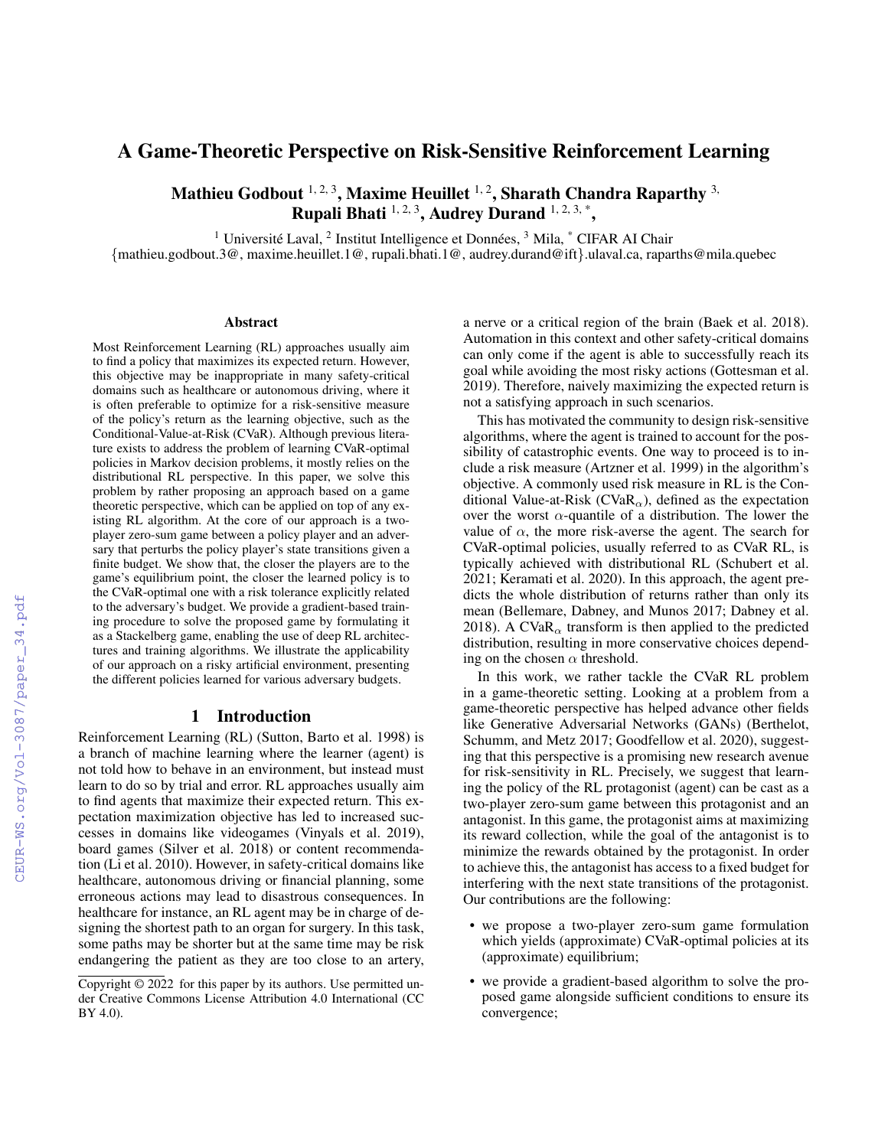# A Game-Theoretic Perspective on Risk-Sensitive Reinforcement Learning

Mathieu Godbout  $1, 2, 3$ , Maxime Heuillet  $1, 2$ , Sharath Chandra Raparthy  $3$ , Rupali Bhati  $1, 2, 3$ , Audrey Durand  $1, 2, 3, *$ ,

<sup>1</sup> Université Laval,  $^2$  Institut Intelligence et Données,  $^3$  Mila,  $^*$  CIFAR AI Chair

{mathieu.godbout.3@, maxime.heuillet.1@, rupali.bhati.1@, audrey.durand@ift}.ulaval.ca, raparths@mila.quebec

#### **Abstract**

Most Reinforcement Learning (RL) approaches usually aim to find a policy that maximizes its expected return. However, this objective may be inappropriate in many safety-critical domains such as healthcare or autonomous driving, where it is often preferable to optimize for a risk-sensitive measure of the policy's return as the learning objective, such as the Conditional-Value-at-Risk (CVaR). Although previous literature exists to address the problem of learning CVaR-optimal policies in Markov decision problems, it mostly relies on the distributional RL perspective. In this paper, we solve this problem by rather proposing an approach based on a game theoretic perspective, which can be applied on top of any existing RL algorithm. At the core of our approach is a twoplayer zero-sum game between a policy player and an adversary that perturbs the policy player's state transitions given a finite budget. We show that, the closer the players are to the game's equilibrium point, the closer the learned policy is to the CVaR-optimal one with a risk tolerance explicitly related to the adversary's budget. We provide a gradient-based training procedure to solve the proposed game by formulating it as a Stackelberg game, enabling the use of deep RL architectures and training algorithms. We illustrate the applicability of our approach on a risky artificial environment, presenting the different policies learned for various adversary budgets.

# 1 Introduction

Reinforcement Learning (RL) (Sutton, Barto et al. 1998) is a branch of machine learning where the learner (agent) is not told how to behave in an environment, but instead must learn to do so by trial and error. RL approaches usually aim to find agents that maximize their expected return. This expectation maximization objective has led to increased successes in domains like videogames (Vinyals et al. 2019), board games (Silver et al. 2018) or content recommendation (Li et al. 2010). However, in safety-critical domains like healthcare, autonomous driving or financial planning, some erroneous actions may lead to disastrous consequences. In healthcare for instance, an RL agent may be in charge of designing the shortest path to an organ for surgery. In this task, some paths may be shorter but at the same time may be risk endangering the patient as they are too close to an artery, a nerve or a critical region of the brain (Baek et al. 2018). Automation in this context and other safety-critical domains can only come if the agent is able to successfully reach its goal while avoiding the most risky actions (Gottesman et al. 2019). Therefore, naively maximizing the expected return is not a satisfying approach in such scenarios.

This has motivated the community to design risk-sensitive algorithms, where the agent is trained to account for the possibility of catastrophic events. One way to proceed is to include a risk measure (Artzner et al. 1999) in the algorithm's objective. A commonly used risk measure in RL is the Conditional Value-at-Risk ( $CVaR_{\alpha}$ ), defined as the expectation over the worst  $\alpha$ -quantile of a distribution. The lower the value of  $\alpha$ , the more risk-averse the agent. The search for CVaR-optimal policies, usually referred to as CVaR RL, is typically achieved with distributional RL (Schubert et al. 2021; Keramati et al. 2020). In this approach, the agent predicts the whole distribution of returns rather than only its mean (Bellemare, Dabney, and Munos 2017; Dabney et al. 2018). A CVaR<sub> $\alpha$ </sub> transform is then applied to the predicted distribution, resulting in more conservative choices depending on the chosen  $\alpha$  threshold.

In this work, we rather tackle the CVaR RL problem in a game-theoretic setting. Looking at a problem from a game-theoretic perspective has helped advance other fields like Generative Adversarial Networks (GANs) (Berthelot, Schumm, and Metz 2017; Goodfellow et al. 2020), suggesting that this perspective is a promising new research avenue for risk-sensitivity in RL. Precisely, we suggest that learning the policy of the RL protagonist (agent) can be cast as a two-player zero-sum game between this protagonist and an antagonist. In this game, the protagonist aims at maximizing its reward collection, while the goal of the antagonist is to minimize the rewards obtained by the protagonist. In order to achieve this, the antagonist has access to a fixed budget for interfering with the next state transitions of the protagonist. Our contributions are the following:

- we propose a two-player zero-sum game formulation which yields (approximate) CVaR-optimal policies at its (approximate) equilibrium;
- we provide a gradient-based algorithm to solve the proposed game alongside sufficient conditions to ensure its convergence;

Copyright © 2022 for this paper by its authors. Use permitted under Creative Commons License Attribution 4.0 International (CC BY 4.0).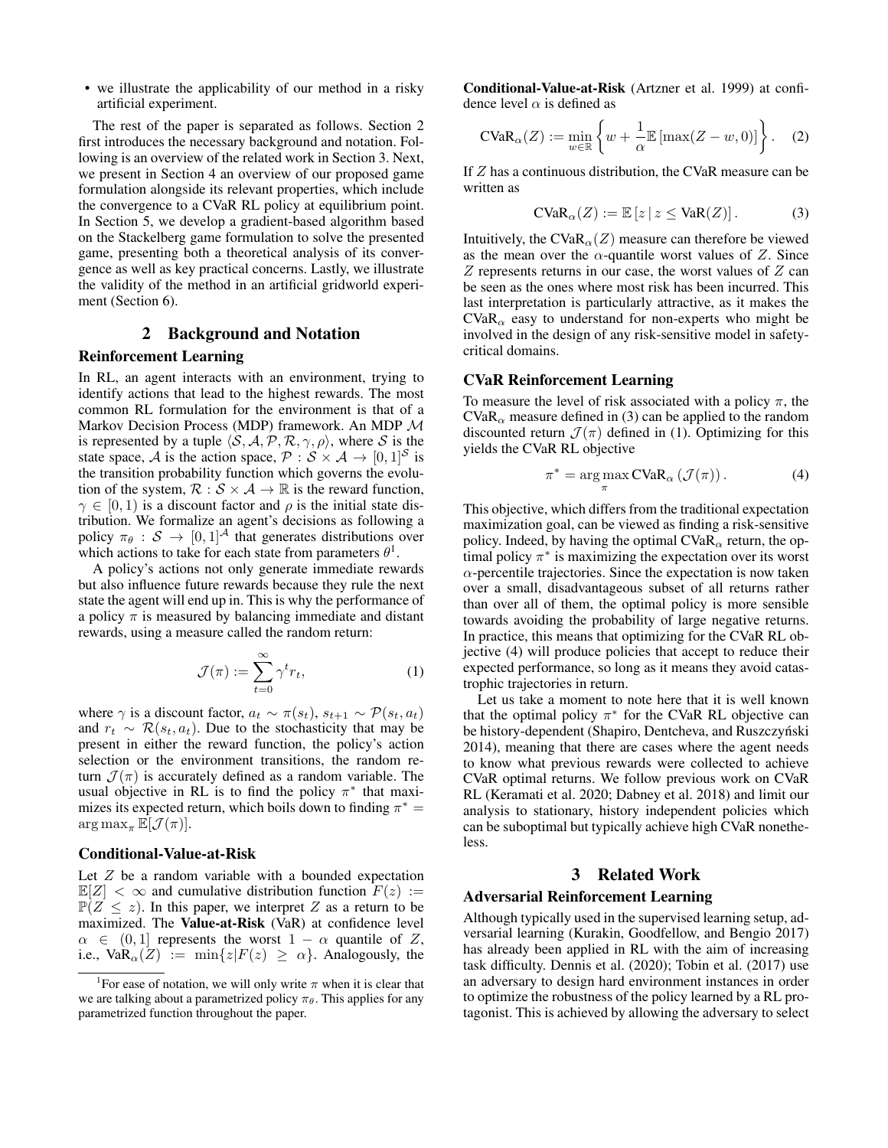• we illustrate the applicability of our method in a risky artificial experiment.

The rest of the paper is separated as follows. Section 2 first introduces the necessary background and notation. Following is an overview of the related work in Section 3. Next, we present in Section 4 an overview of our proposed game formulation alongside its relevant properties, which include the convergence to a CVaR RL policy at equilibrium point. In Section 5, we develop a gradient-based algorithm based on the Stackelberg game formulation to solve the presented game, presenting both a theoretical analysis of its convergence as well as key practical concerns. Lastly, we illustrate the validity of the method in an artificial gridworld experiment (Section 6).

# 2 Background and Notation

# Reinforcement Learning

In RL, an agent interacts with an environment, trying to identify actions that lead to the highest rewards. The most common RL formulation for the environment is that of a Markov Decision Process (MDP) framework. An MDP M is represented by a tuple  $\langle S, A, P, R, \gamma, \rho \rangle$ , where S is the state space, A is the action space,  $P : S \times A \rightarrow [0, 1]^S$  is the transition probability function which governs the evolution of the system,  $\mathcal{R}: \mathcal{S} \times \mathcal{A} \rightarrow \mathbb{R}$  is the reward function,  $\gamma \in [0, 1)$  is a discount factor and  $\rho$  is the initial state distribution. We formalize an agent's decisions as following a policy  $\pi_{\theta}$  :  $S \rightarrow [0, 1]^{\mathcal{A}}$  that generates distributions over which actions to take for each state from parameters  $\theta^1$ .

A policy's actions not only generate immediate rewards but also influence future rewards because they rule the next state the agent will end up in. This is why the performance of a policy  $\pi$  is measured by balancing immediate and distant rewards, using a measure called the random return:

$$
\mathcal{J}(\pi) := \sum_{t=0}^{\infty} \gamma^t r_t,
$$
 (1)

where  $\gamma$  is a discount factor,  $a_t \sim \pi(s_t)$ ,  $s_{t+1} \sim \mathcal{P}(s_t, a_t)$ and  $r_t \sim \mathcal{R}(s_t, a_t)$ . Due to the stochasticity that may be present in either the reward function, the policy's action selection or the environment transitions, the random return  $\mathcal{J}(\pi)$  is accurately defined as a random variable. The usual objective in RL is to find the policy  $\pi^*$  that maximizes its expected return, which boils down to finding  $\pi^* =$  $\arg \max_{\pi} \mathbb{E}[\mathcal{J}(\pi)].$ 

### Conditional-Value-at-Risk

Let  $Z$  be a random variable with a bounded expectation  $\mathbb{E}[Z] < \infty$  and cumulative distribution function  $F(z) :=$  $\mathbb{P}(Z \leq z)$ . In this paper, we interpret Z as a return to be maximized. The Value-at-Risk (VaR) at confidence level  $\alpha \in (0,1]$  represents the worst  $1 - \alpha$  quantile of Z, i.e.,  $\text{VaR}_{\alpha}(Z) := \min\{z|F(z) \geq \alpha\}$ . Analogously, the

Conditional-Value-at-Risk (Artzner et al. 1999) at confidence level  $\alpha$  is defined as

$$
\text{CVaR}_{\alpha}(Z) := \min_{w \in \mathbb{R}} \left\{ w + \frac{1}{\alpha} \mathbb{E} \left[ \max(Z - w, 0) \right] \right\}. \tag{2}
$$

If Z has a continuous distribution, the CVaR measure can be written as

$$
\text{CVaR}_{\alpha}(Z) := \mathbb{E}\left[z \mid z \leq \text{VaR}(Z)\right].\tag{3}
$$

Intuitively, the CVaR<sub> $\alpha$ </sub> $(Z)$  measure can therefore be viewed as the mean over the  $\alpha$ -quantile worst values of Z. Since  $Z$  represents returns in our case, the worst values of  $Z$  can be seen as the ones where most risk has been incurred. This last interpretation is particularly attractive, as it makes the  $CVaR_{\alpha}$  easy to understand for non-experts who might be involved in the design of any risk-sensitive model in safetycritical domains.

# CVaR Reinforcement Learning

To measure the level of risk associated with a policy  $\pi$ , the  $CVaR<sub>α</sub>$  measure defined in (3) can be applied to the random discounted return  $\mathcal{J}(\pi)$  defined in (1). Optimizing for this yields the CVaR RL objective

$$
\pi^* = \underset{\pi}{\arg\max} \text{CVaR}_{\alpha} \left( \mathcal{J}(\pi) \right). \tag{4}
$$

This objective, which differs from the traditional expectation maximization goal, can be viewed as finding a risk-sensitive policy. Indeed, by having the optimal  $CVaR_{\alpha}$  return, the optimal policy  $\pi^*$  is maximizing the expectation over its worst  $\alpha$ -percentile trajectories. Since the expectation is now taken over a small, disadvantageous subset of all returns rather than over all of them, the optimal policy is more sensible towards avoiding the probability of large negative returns. In practice, this means that optimizing for the CVaR RL objective (4) will produce policies that accept to reduce their expected performance, so long as it means they avoid catastrophic trajectories in return.

Let us take a moment to note here that it is well known that the optimal policy  $\pi^*$  for the CVaR RL objective can be history-dependent (Shapiro, Dentcheva, and Ruszczyński 2014), meaning that there are cases where the agent needs to know what previous rewards were collected to achieve CVaR optimal returns. We follow previous work on CVaR RL (Keramati et al. 2020; Dabney et al. 2018) and limit our analysis to stationary, history independent policies which can be suboptimal but typically achieve high CVaR nonetheless.

#### 3 Related Work

#### Adversarial Reinforcement Learning

Although typically used in the supervised learning setup, adversarial learning (Kurakin, Goodfellow, and Bengio 2017) has already been applied in RL with the aim of increasing task difficulty. Dennis et al. (2020); Tobin et al. (2017) use an adversary to design hard environment instances in order to optimize the robustness of the policy learned by a RL protagonist. This is achieved by allowing the adversary to select

<sup>&</sup>lt;sup>1</sup> For ease of notation, we will only write  $\pi$  when it is clear that we are talking about a parametrized policy  $\pi_{\theta}$ . This applies for any parametrized function throughout the paper.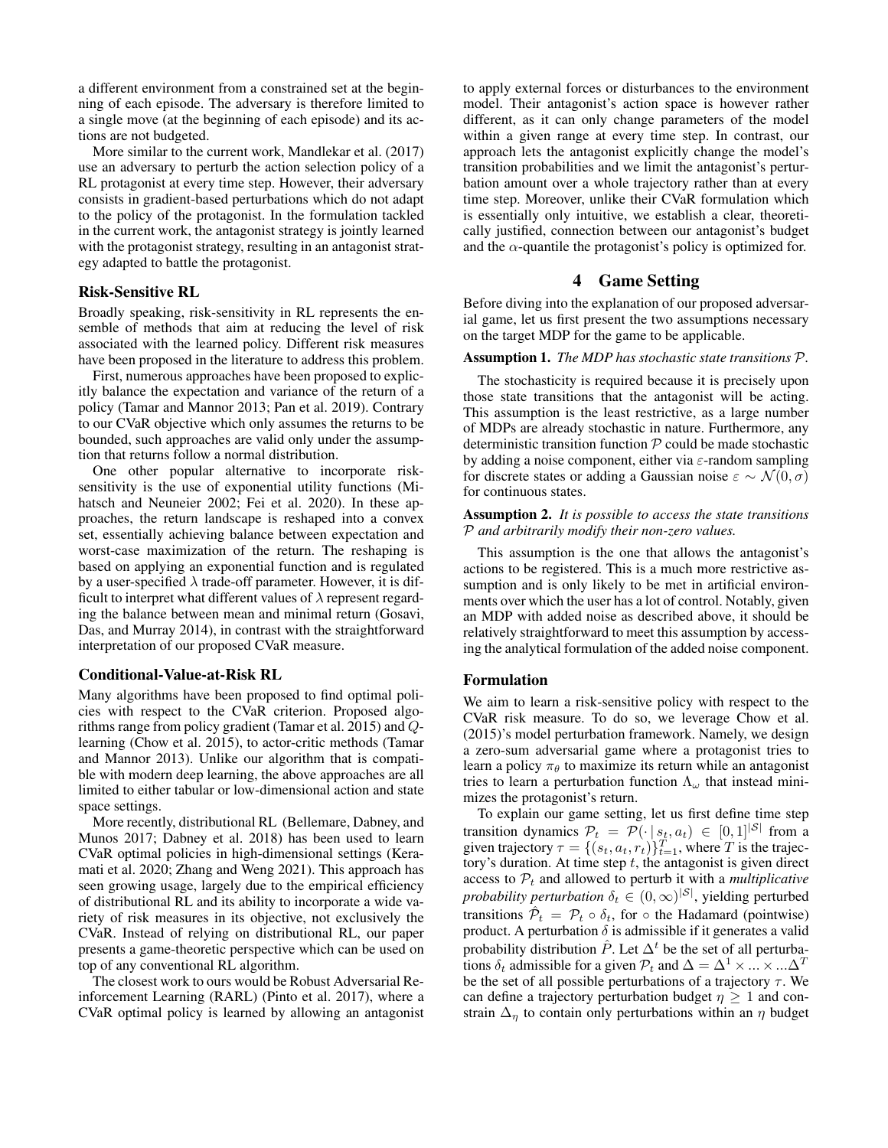a different environment from a constrained set at the beginning of each episode. The adversary is therefore limited to a single move (at the beginning of each episode) and its actions are not budgeted.

More similar to the current work, Mandlekar et al. (2017) use an adversary to perturb the action selection policy of a RL protagonist at every time step. However, their adversary consists in gradient-based perturbations which do not adapt to the policy of the protagonist. In the formulation tackled in the current work, the antagonist strategy is jointly learned with the protagonist strategy, resulting in an antagonist strategy adapted to battle the protagonist.

### Risk-Sensitive RL

Broadly speaking, risk-sensitivity in RL represents the ensemble of methods that aim at reducing the level of risk associated with the learned policy. Different risk measures have been proposed in the literature to address this problem.

First, numerous approaches have been proposed to explicitly balance the expectation and variance of the return of a policy (Tamar and Mannor 2013; Pan et al. 2019). Contrary to our CVaR objective which only assumes the returns to be bounded, such approaches are valid only under the assumption that returns follow a normal distribution.

One other popular alternative to incorporate risksensitivity is the use of exponential utility functions (Mihatsch and Neuneier 2002; Fei et al. 2020). In these approaches, the return landscape is reshaped into a convex set, essentially achieving balance between expectation and worst-case maximization of the return. The reshaping is based on applying an exponential function and is regulated by a user-specified  $\lambda$  trade-off parameter. However, it is difficult to interpret what different values of  $\lambda$  represent regarding the balance between mean and minimal return (Gosavi, Das, and Murray 2014), in contrast with the straightforward interpretation of our proposed CVaR measure.

#### Conditional-Value-at-Risk RL

Many algorithms have been proposed to find optimal policies with respect to the CVaR criterion. Proposed algorithms range from policy gradient (Tamar et al. 2015) and Qlearning (Chow et al. 2015), to actor-critic methods (Tamar and Mannor 2013). Unlike our algorithm that is compatible with modern deep learning, the above approaches are all limited to either tabular or low-dimensional action and state space settings.

More recently, distributional RL (Bellemare, Dabney, and Munos 2017; Dabney et al. 2018) has been used to learn CVaR optimal policies in high-dimensional settings (Keramati et al. 2020; Zhang and Weng 2021). This approach has seen growing usage, largely due to the empirical efficiency of distributional RL and its ability to incorporate a wide variety of risk measures in its objective, not exclusively the CVaR. Instead of relying on distributional RL, our paper presents a game-theoretic perspective which can be used on top of any conventional RL algorithm.

The closest work to ours would be Robust Adversarial Reinforcement Learning (RARL) (Pinto et al. 2017), where a CVaR optimal policy is learned by allowing an antagonist

to apply external forces or disturbances to the environment model. Their antagonist's action space is however rather different, as it can only change parameters of the model within a given range at every time step. In contrast, our approach lets the antagonist explicitly change the model's transition probabilities and we limit the antagonist's perturbation amount over a whole trajectory rather than at every time step. Moreover, unlike their CVaR formulation which is essentially only intuitive, we establish a clear, theoretically justified, connection between our antagonist's budget and the  $\alpha$ -quantile the protagonist's policy is optimized for.

### 4 Game Setting

Before diving into the explanation of our proposed adversarial game, let us first present the two assumptions necessary on the target MDP for the game to be applicable.

#### Assumption 1. *The MDP has stochastic state transitions* P*.*

The stochasticity is required because it is precisely upon those state transitions that the antagonist will be acting. This assumption is the least restrictive, as a large number of MDPs are already stochastic in nature. Furthermore, any deterministic transition function  $P$  could be made stochastic by adding a noise component, either via  $\varepsilon$ -random sampling for discrete states or adding a Gaussian noise  $\varepsilon \sim \mathcal{N}(0, \sigma)$ for continuous states.

#### Assumption 2. *It is possible to access the state transitions* P *and arbitrarily modify their non-zero values.*

This assumption is the one that allows the antagonist's actions to be registered. This is a much more restrictive assumption and is only likely to be met in artificial environments over which the user has a lot of control. Notably, given an MDP with added noise as described above, it should be relatively straightforward to meet this assumption by accessing the analytical formulation of the added noise component.

# Formulation

We aim to learn a risk-sensitive policy with respect to the CVaR risk measure. To do so, we leverage Chow et al. (2015)'s model perturbation framework. Namely, we design a zero-sum adversarial game where a protagonist tries to learn a policy  $\pi_{\theta}$  to maximize its return while an antagonist tries to learn a perturbation function  $\Lambda_{\omega}$  that instead minimizes the protagonist's return.

To explain our game setting, let us first define time step transition dynamics  $P_t = \mathcal{P}(\cdot | s_t, a_t) \in [0, 1]^{|\mathcal{S}|}$  from a given trajectory  $\tau = \{(s_t, a_t, r_t)\}_{t=1}^T$ , where T is the trajectory's duration. At time step  $t$ , the antagonist is given direct access to  $P_t$  and allowed to perturb it with a *multiplicative probability perturbation*  $\delta_t \in (0, \infty)^{|\mathcal{S}|}$ , yielding perturbed transitions  $\hat{\mathcal{P}}_t = \mathcal{P}_t \circ \delta_t$ , for  $\circ$  the Hadamard (pointwise) product. A perturbation  $\delta$  is admissible if it generates a valid probability distribution  $\hat{P}$ . Let  $\Delta^t$  be the set of all perturbations  $\delta_t$  admissible for a given  $\mathcal{P}_t$  and  $\Delta = \Delta^1 \times ... \times ... \Delta^n$ be the set of all possible perturbations of a trajectory  $\tau$ . We can define a trajectory perturbation budget  $\eta \geq 1$  and constrain  $\Delta_n$  to contain only perturbations within an  $\eta$  budget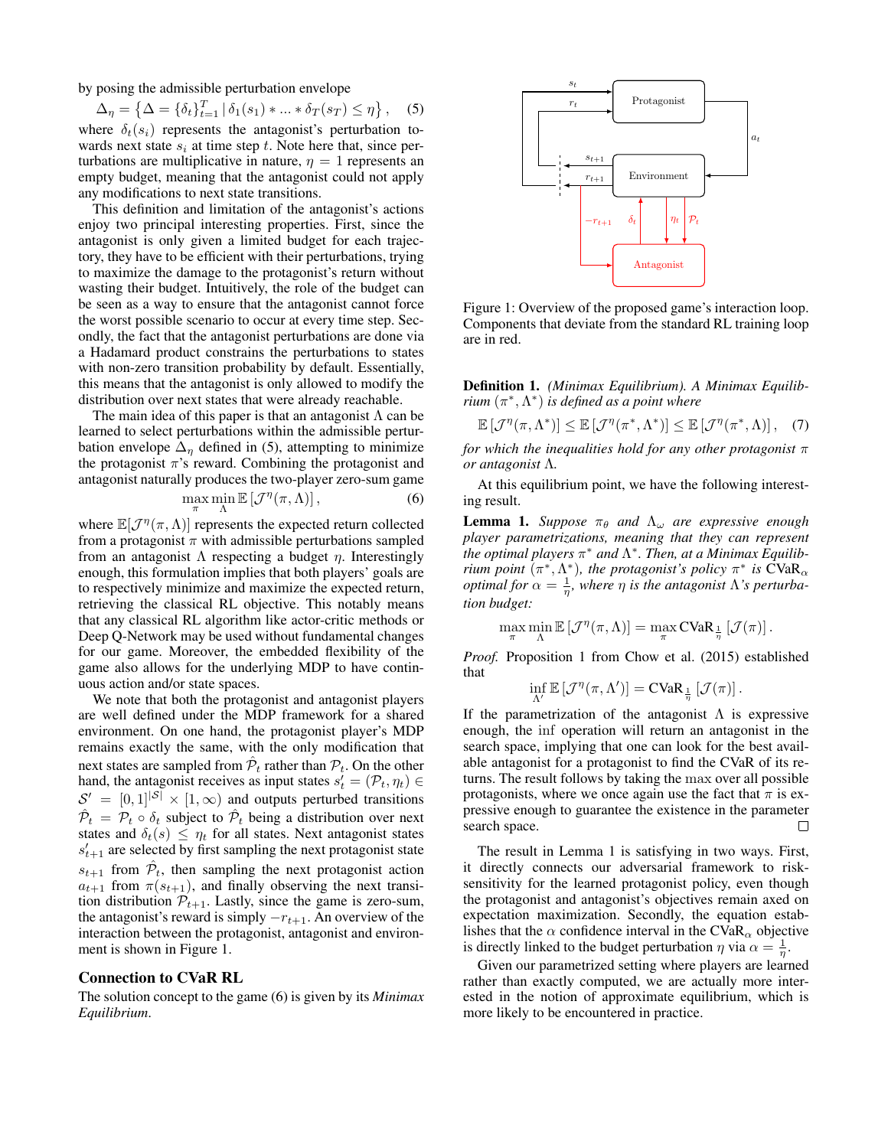by posing the admissible perturbation envelope

$$
\Delta_{\eta} = \left\{ \Delta = \{ \delta_t \}_{t=1}^T \, | \, \delta_1(s_1) * ... * \delta_T(s_T) \le \eta \right\}, \quad (5)
$$

where  $\delta_t(s_i)$  represents the antagonist's perturbation towards next state  $s_i$  at time step t. Note here that, since perturbations are multiplicative in nature,  $\eta = 1$  represents an empty budget, meaning that the antagonist could not apply any modifications to next state transitions.

This definition and limitation of the antagonist's actions enjoy two principal interesting properties. First, since the antagonist is only given a limited budget for each trajectory, they have to be efficient with their perturbations, trying to maximize the damage to the protagonist's return without wasting their budget. Intuitively, the role of the budget can be seen as a way to ensure that the antagonist cannot force the worst possible scenario to occur at every time step. Secondly, the fact that the antagonist perturbations are done via a Hadamard product constrains the perturbations to states with non-zero transition probability by default. Essentially, this means that the antagonist is only allowed to modify the distribution over next states that were already reachable.

The main idea of this paper is that an antagonist  $\Lambda$  can be learned to select perturbations within the admissible perturbation envelope  $\Delta_n$  defined in (5), attempting to minimize the protagonist  $\pi$ 's reward. Combining the protagonist and antagonist naturally produces the two-player zero-sum game

$$
\max_{\pi} \min_{\Lambda} \mathbb{E}\left[\mathcal{J}^{\eta}(\pi,\Lambda)\right],\tag{6}
$$

where  $\mathbb{E}[\mathcal{J}^{\eta}(\pi,\Lambda)]$  represents the expected return collected from a protagonist  $\pi$  with admissible perturbations sampled from an antagonist  $\Lambda$  respecting a budget  $\eta$ . Interestingly enough, this formulation implies that both players' goals are to respectively minimize and maximize the expected return, retrieving the classical RL objective. This notably means that any classical RL algorithm like actor-critic methods or Deep Q-Network may be used without fundamental changes for our game. Moreover, the embedded flexibility of the game also allows for the underlying MDP to have continuous action and/or state spaces.

We note that both the protagonist and antagonist players are well defined under the MDP framework for a shared environment. On one hand, the protagonist player's MDP remains exactly the same, with the only modification that next states are sampled from  $\hat{\mathcal{P}}_t$  rather than  $\mathcal{P}_t$ . On the other hand, the antagonist receives as input states  $s'_t = (\mathcal{P}_t, \eta_t) \in$  $S' = [0, 1]^{|\mathcal{S}|} \times [1, \infty)$  and outputs perturbed transitions  $\hat{\mathcal{P}}_t = \mathcal{P}_t \circ \delta_t$  subject to  $\hat{\mathcal{P}}_t$  being a distribution over next states and  $\delta_t(s) \leq \eta_t$  for all states. Next antagonist states  $s'_{t+1}$  are selected by first sampling the next protagonist state  $s_{t+1}$  from  $\hat{\mathcal{P}}_t$ , then sampling the next protagonist action  $a_{t+1}$  from  $\pi(s_{t+1})$ , and finally observing the next transition distribution  $P_{t+1}$ . Lastly, since the game is zero-sum, the antagonist's reward is simply  $-r_{t+1}$ . An overview of the interaction between the protagonist, antagonist and environment is shown in Figure 1.

#### Connection to CVaR RL

The solution concept to the game (6) is given by its *Minimax Equilibrium*.



Figure 1: Overview of the proposed game's interaction loop. Components that deviate from the standard RL training loop are in red.

Definition 1. *(Minimax Equilibrium). A Minimax Equilibrium* (π ∗ ,Λ ∗ ) *is defined as a point where*

$$
\mathbb{E}\left[\mathcal{J}^{\eta}(\pi,\Lambda^*)\right] \leq \mathbb{E}\left[\mathcal{J}^{\eta}(\pi^*,\Lambda^*)\right] \leq \mathbb{E}\left[\mathcal{J}^{\eta}(\pi^*,\Lambda)\right],\quad(7)
$$

*for which the inequalities hold for any other protagonist* π *or antagonist* Λ*.*

At this equilibrium point, we have the following interesting result.

**Lemma 1.** *Suppose*  $\pi_{\theta}$  *and*  $\Lambda_{\omega}$  *are expressive enough player parametrizations, meaning that they can represent the optimal players* π <sup>∗</sup> *and* Λ ∗ *. Then, at a Minimax Equilibrium point*  $(\pi^*, \Lambda^*)$ , the protagonist's policy  $\pi^*$  is  $\tilde{C}VaR_{\alpha}$ *optimal for*  $\alpha = \frac{1}{\eta}$ , where  $\eta$  *is the antagonist*  $\Lambda$ 's perturba*tion budget:*

$$
\max_{\pi} \min_{\Lambda} \mathbb{E}\left[\mathcal{J}^{\eta}(\pi, \Lambda)\right] = \max_{\pi} \text{CVaR}_{\frac{1}{\eta}}\left[\mathcal{J}(\pi)\right].
$$

*Proof.* Proposition 1 from Chow et al. (2015) established that

$$
\inf_{\Lambda'} \mathbb{E}\left[\mathcal{J}^{\eta}(\pi, \Lambda')\right] = \mathbf{CVaR}_{\frac{1}{\eta}}\left[\mathcal{J}(\pi)\right].
$$

If the parametrization of the antagonist  $\Lambda$  is expressive enough, the inf operation will return an antagonist in the search space, implying that one can look for the best available antagonist for a protagonist to find the CVaR of its returns. The result follows by taking the max over all possible protagonists, where we once again use the fact that  $\pi$  is expressive enough to guarantee the existence in the parameter search space. П

The result in Lemma 1 is satisfying in two ways. First, it directly connects our adversarial framework to risksensitivity for the learned protagonist policy, even though the protagonist and antagonist's objectives remain axed on expectation maximization. Secondly, the equation establishes that the  $\alpha$  confidence interval in the CVaR<sub> $\alpha$ </sub> objective is directly linked to the budget perturbation  $\eta$  via  $\alpha = \frac{1}{\eta}$ .

Given our parametrized setting where players are learned rather than exactly computed, we are actually more interested in the notion of approximate equilibrium, which is more likely to be encountered in practice.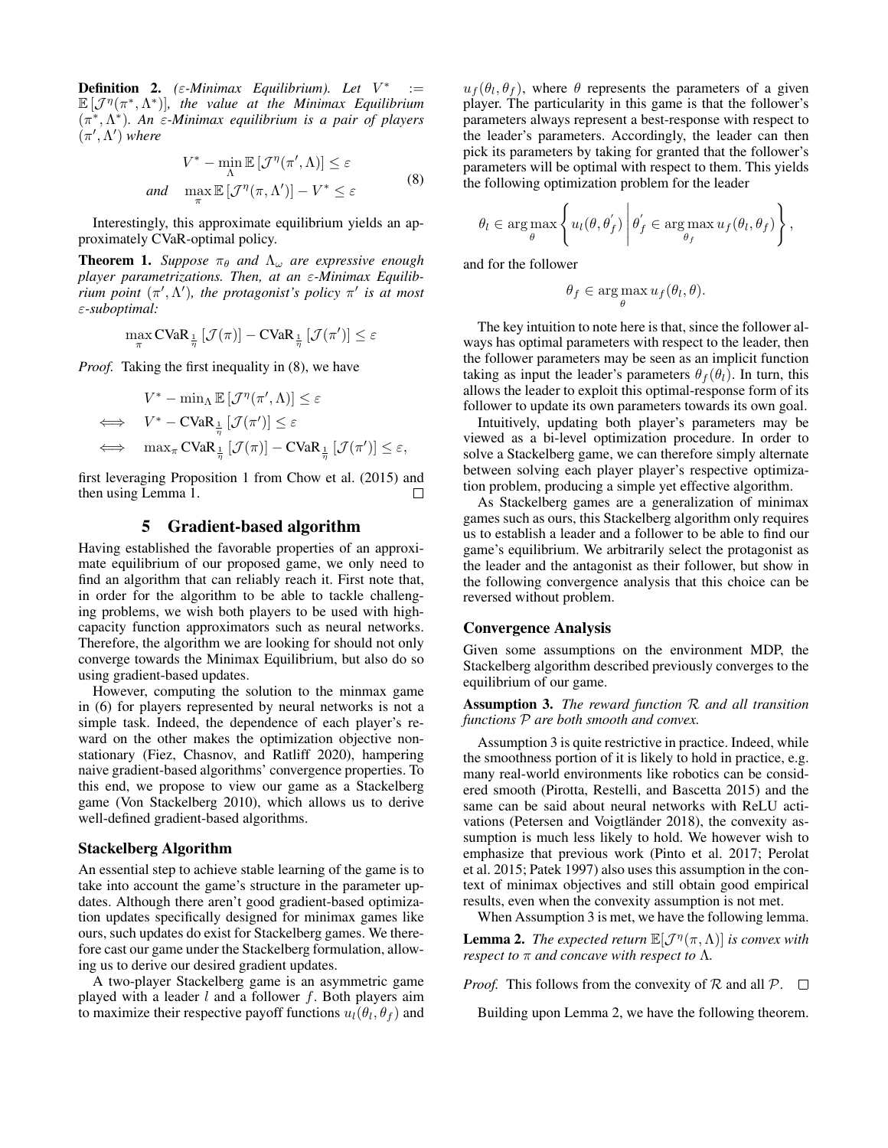**Definition 2.** ( $\varepsilon$ -Minimax Equilibrium). Let  $V^*$  :=  $\mathbb{E}\left[\mathcal{J}^{\eta}(\pi^*, \Lambda^*)\right]$ , the value at the Minimax Equilibrium (π ∗ ,Λ ∗ )*. An* ε*-Minimax equilibrium is a pair of players*  $(\pi', \Lambda')$  where

$$
V^* - \min_{\Lambda} \mathbb{E} \left[ \mathcal{J}^{\eta}(\pi', \Lambda) \right] \le \varepsilon
$$
  
and 
$$
\max_{\pi} \mathbb{E} \left[ \mathcal{J}^{\eta}(\pi, \Lambda') \right] - V^* \le \varepsilon
$$
 (8)

Interestingly, this approximate equilibrium yields an approximately CVaR-optimal policy.

**Theorem 1.** *Suppose*  $\pi_{\theta}$  *and*  $\Lambda_{\omega}$  *are expressive enough player parametrizations. Then, at an* ε*-Minimax Equilibinum point*  $(\pi', \Lambda')$ , the protagonist's policy  $\pi'$  is at most ε*-suboptimal:*

$$
\max_{\pi} \text{CVaR}_{\frac{1}{\eta}} \left[ \mathcal{J}(\pi) \right] - \text{CVaR}_{\frac{1}{\eta}} \left[ \mathcal{J}(\pi') \right] \leq \varepsilon
$$

*Proof.* Taking the first inequality in (8), we have

$$
V^* - \min_{\Lambda} \mathbb{E} \left[ \mathcal{J}^{\eta}(\pi', \Lambda) \right] \leq \varepsilon
$$
  
\n
$$
\iff V^* - \mathbf{CVaR}_{\frac{1}{\eta}} \left[ \mathcal{J}(\pi') \right] \leq \varepsilon
$$
  
\n
$$
\iff \max_{\pi} \mathbf{CVaR}_{\frac{1}{\eta}} \left[ \mathcal{J}(\pi) \right] - \mathbf{CVaR}_{\frac{1}{\eta}} \left[ \mathcal{J}(\pi') \right] \leq \varepsilon,
$$

first leveraging Proposition 1 from Chow et al. (2015) and then using Lemma 1.  $\Box$ 

# 5 Gradient-based algorithm

Having established the favorable properties of an approximate equilibrium of our proposed game, we only need to find an algorithm that can reliably reach it. First note that, in order for the algorithm to be able to tackle challenging problems, we wish both players to be used with highcapacity function approximators such as neural networks. Therefore, the algorithm we are looking for should not only converge towards the Minimax Equilibrium, but also do so using gradient-based updates.

However, computing the solution to the minmax game in (6) for players represented by neural networks is not a simple task. Indeed, the dependence of each player's reward on the other makes the optimization objective nonstationary (Fiez, Chasnov, and Ratliff 2020), hampering naive gradient-based algorithms' convergence properties. To this end, we propose to view our game as a Stackelberg game (Von Stackelberg 2010), which allows us to derive well-defined gradient-based algorithms.

#### Stackelberg Algorithm

An essential step to achieve stable learning of the game is to take into account the game's structure in the parameter updates. Although there aren't good gradient-based optimization updates specifically designed for minimax games like ours, such updates do exist for Stackelberg games. We therefore cast our game under the Stackelberg formulation, allowing us to derive our desired gradient updates.

A two-player Stackelberg game is an asymmetric game played with a leader  $l$  and a follower  $f$ . Both players aim to maximize their respective payoff functions  $u_l(\theta_l, \theta_f)$  and

 $u_f(\theta_l, \theta_f)$ , where  $\theta$  represents the parameters of a given player. The particularity in this game is that the follower's parameters always represent a best-response with respect to the leader's parameters. Accordingly, the leader can then pick its parameters by taking for granted that the follower's parameters will be optimal with respect to them. This yields the following optimization problem for the leader

$$
\theta_l \in \arg \max_{\theta} \left\{ u_l(\theta, \theta'_f) \middle| \theta'_f \in \arg \max_{\theta_f} u_f(\theta_l, \theta_f) \right\},\
$$

 $\mathbf{r}$ 

and for the follower

 $\lambda$ 

$$
\theta_f \in \arg\max_{\theta} u_f(\theta_l, \theta).
$$

The key intuition to note here is that, since the follower always has optimal parameters with respect to the leader, then the follower parameters may be seen as an implicit function taking as input the leader's parameters  $\theta_f(\theta_l)$ . In turn, this allows the leader to exploit this optimal-response form of its follower to update its own parameters towards its own goal.

Intuitively, updating both player's parameters may be viewed as a bi-level optimization procedure. In order to solve a Stackelberg game, we can therefore simply alternate between solving each player player's respective optimization problem, producing a simple yet effective algorithm.

As Stackelberg games are a generalization of minimax games such as ours, this Stackelberg algorithm only requires us to establish a leader and a follower to be able to find our game's equilibrium. We arbitrarily select the protagonist as the leader and the antagonist as their follower, but show in the following convergence analysis that this choice can be reversed without problem.

### Convergence Analysis

Given some assumptions on the environment MDP, the Stackelberg algorithm described previously converges to the equilibrium of our game.

Assumption 3. *The reward function* R *and all transition functions* P *are both smooth and convex.*

Assumption 3 is quite restrictive in practice. Indeed, while the smoothness portion of it is likely to hold in practice, e.g. many real-world environments like robotics can be considered smooth (Pirotta, Restelli, and Bascetta 2015) and the same can be said about neural networks with ReLU activations (Petersen and Voigtländer 2018), the convexity assumption is much less likely to hold. We however wish to emphasize that previous work (Pinto et al. 2017; Perolat et al. 2015; Patek 1997) also uses this assumption in the context of minimax objectives and still obtain good empirical results, even when the convexity assumption is not met.

When Assumption 3 is met, we have the following lemma.

**Lemma 2.** *The expected return*  $\mathbb{E}[\mathcal{J}^{\eta}(\pi,\Lambda)]$  *is convex with respect to*  $\pi$  *and concave with respect to*  $\Lambda$ *.* 

*Proof.* This follows from the convexity of  $\mathcal R$  and all  $\mathcal P$ .  $\Box$ 

Building upon Lemma 2, we have the following theorem.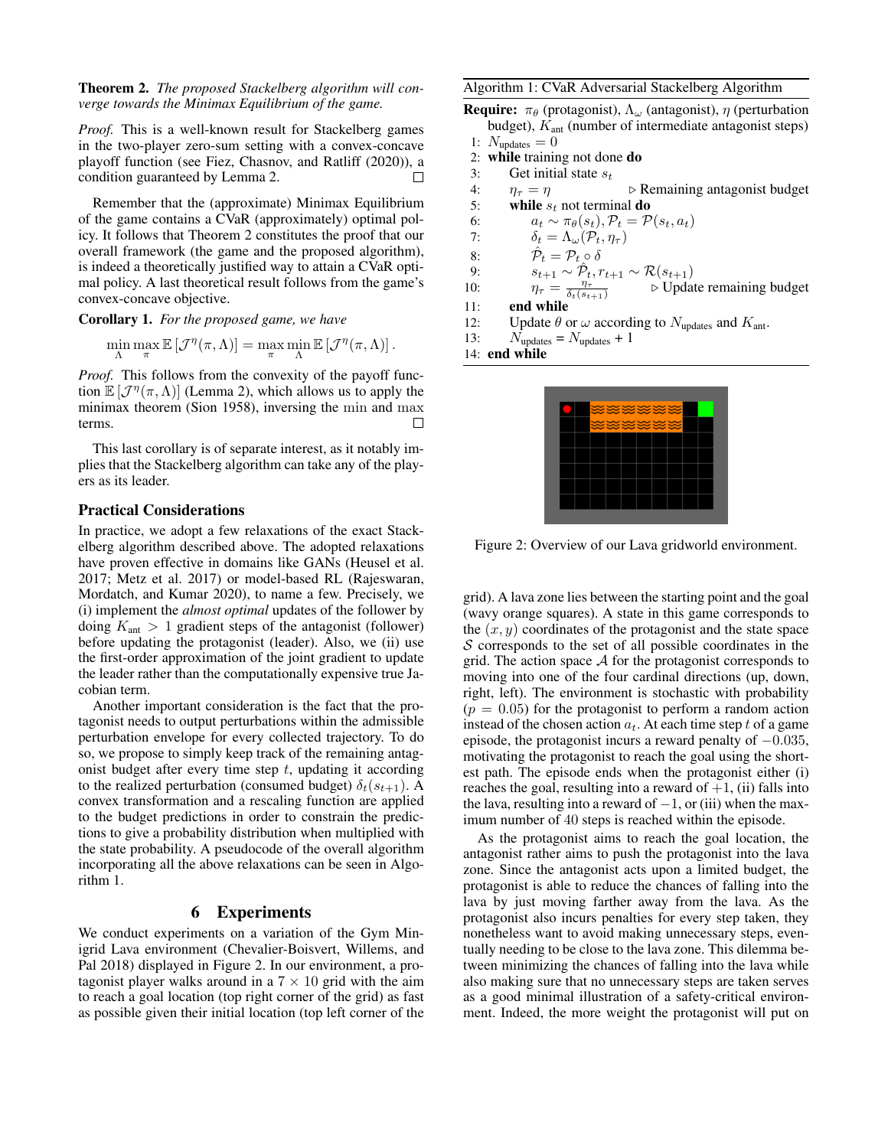### Theorem 2. *The proposed Stackelberg algorithm will converge towards the Minimax Equilibrium of the game.*

*Proof.* This is a well-known result for Stackelberg games in the two-player zero-sum setting with a convex-concave playoff function (see Fiez, Chasnov, and Ratliff (2020)), a condition guaranteed by Lemma 2.  $\Box$ 

Remember that the (approximate) Minimax Equilibrium of the game contains a CVaR (approximately) optimal policy. It follows that Theorem 2 constitutes the proof that our overall framework (the game and the proposed algorithm), is indeed a theoretically justified way to attain a CVaR optimal policy. A last theoretical result follows from the game's convex-concave objective.

Corollary 1. *For the proposed game, we have*

 $\min_{\Lambda} \max_{\pi} \mathbb{E} [\mathcal{J}^{\eta}(\pi, \Lambda)] = \max_{\pi} \min_{\Lambda} \mathbb{E} [\mathcal{J}^{\eta}(\pi, \Lambda)].$ 

*Proof.* This follows from the convexity of the payoff function  $\mathbb{E}[\mathcal{J}^{\eta}(\pi,\Lambda)]$  (Lemma 2), which allows us to apply the minimax theorem (Sion 1958), inversing the min and max terms.  $\Box$ 

This last corollary is of separate interest, as it notably implies that the Stackelberg algorithm can take any of the players as its leader.

# Practical Considerations

In practice, we adopt a few relaxations of the exact Stackelberg algorithm described above. The adopted relaxations have proven effective in domains like GANs (Heusel et al. 2017; Metz et al. 2017) or model-based RL (Rajeswaran, Mordatch, and Kumar 2020), to name a few. Precisely, we (i) implement the *almost optimal* updates of the follower by doing  $K_{\text{ant}} > 1$  gradient steps of the antagonist (follower) before updating the protagonist (leader). Also, we (ii) use the first-order approximation of the joint gradient to update the leader rather than the computationally expensive true Jacobian term.

Another important consideration is the fact that the protagonist needs to output perturbations within the admissible perturbation envelope for every collected trajectory. To do so, we propose to simply keep track of the remaining antagonist budget after every time step  $t$ , updating it according to the realized perturbation (consumed budget)  $\delta_t(s_{t+1})$ . A convex transformation and a rescaling function are applied to the budget predictions in order to constrain the predictions to give a probability distribution when multiplied with the state probability. A pseudocode of the overall algorithm incorporating all the above relaxations can be seen in Algorithm 1.

# 6 Experiments

We conduct experiments on a variation of the Gym Minigrid Lava environment (Chevalier-Boisvert, Willems, and Pal 2018) displayed in Figure 2. In our environment, a protagonist player walks around in a  $7 \times 10$  grid with the aim to reach a goal location (top right corner of the grid) as fast as possible given their initial location (top left corner of the

#### Algorithm 1: CVaR Adversarial Stackelberg Algorithm

- **Require:**  $\pi_{\theta}$  (protagonist),  $\Lambda_{\omega}$  (antagonist),  $\eta$  (perturbation budget),  $K_{\text{ant}}$  (number of intermediate antagonist steps)
- 1:  $N_{\text{update}} = 0$ <br>2: **while** trainin
- while training not done do
- 3: Get initial state  $s_t$ <br>4:  $n_{\tau} = n$
- 4:  $\eta_{\tau} = \eta$   $\triangleright$  Remaining antagonist budget<br>5: **while**  $s_t$  not terminal **do**
- 5: while  $s_t$  not terminal do<br>6:  $a_t \sim \pi_\theta(s_t)$ ,  $P_t = P$
- 6:  $a_t \sim \pi_{\theta}(s_t), \mathcal{P}_t = \mathcal{P}(s_t, a_t)$ <br>7:  $\delta_t = \Lambda_{\omega}(\mathcal{P}_t, \eta_\tau)$
- 7:  $\delta_t = \Lambda_\omega(\mathcal{P}_t, \eta_\tau)$ <br>8:  $\hat{\mathcal{P}}_t = \mathcal{P}_t \circ \delta$
- 8:  $\hat{\mathcal{P}}_t = \mathcal{P}_{t} \circ \delta$
- 9:  $s_{t+1} \sim \hat{P}_t, r_{t+1} \sim \mathcal{R}(s_{t+1})$
- 10:  $\eta_{\tau} = \frac{\eta_{\tau}}{\delta_t(s_{t+1})}$   $\triangleright$  Update remaining budget 11: end while
- 12: Update  $\theta$  or  $\omega$  according to  $N_{\text{update}}$  and  $K_{\text{ant}}$ .<br>13:  $N_{\text{update}} = N_{\text{update}} + 1$

 $N_{\text{update}} = N_{\text{update}} + 1$ 

14: end while



Figure 2: Overview of our Lava gridworld environment.

grid). A lava zone lies between the starting point and the goal (wavy orange squares). A state in this game corresponds to the  $(x, y)$  coordinates of the protagonist and the state space  $S$  corresponds to the set of all possible coordinates in the grid. The action space  $A$  for the protagonist corresponds to moving into one of the four cardinal directions (up, down, right, left). The environment is stochastic with probability  $(p = 0.05)$  for the protagonist to perform a random action instead of the chosen action  $a_t$ . At each time step t of a game episode, the protagonist incurs a reward penalty of  $-0.035$ , motivating the protagonist to reach the goal using the shortest path. The episode ends when the protagonist either (i) reaches the goal, resulting into a reward of  $+1$ , (ii) falls into the lava, resulting into a reward of  $-1$ , or (iii) when the maximum number of 40 steps is reached within the episode.

As the protagonist aims to reach the goal location, the antagonist rather aims to push the protagonist into the lava zone. Since the antagonist acts upon a limited budget, the protagonist is able to reduce the chances of falling into the lava by just moving farther away from the lava. As the protagonist also incurs penalties for every step taken, they nonetheless want to avoid making unnecessary steps, eventually needing to be close to the lava zone. This dilemma between minimizing the chances of falling into the lava while also making sure that no unnecessary steps are taken serves as a good minimal illustration of a safety-critical environment. Indeed, the more weight the protagonist will put on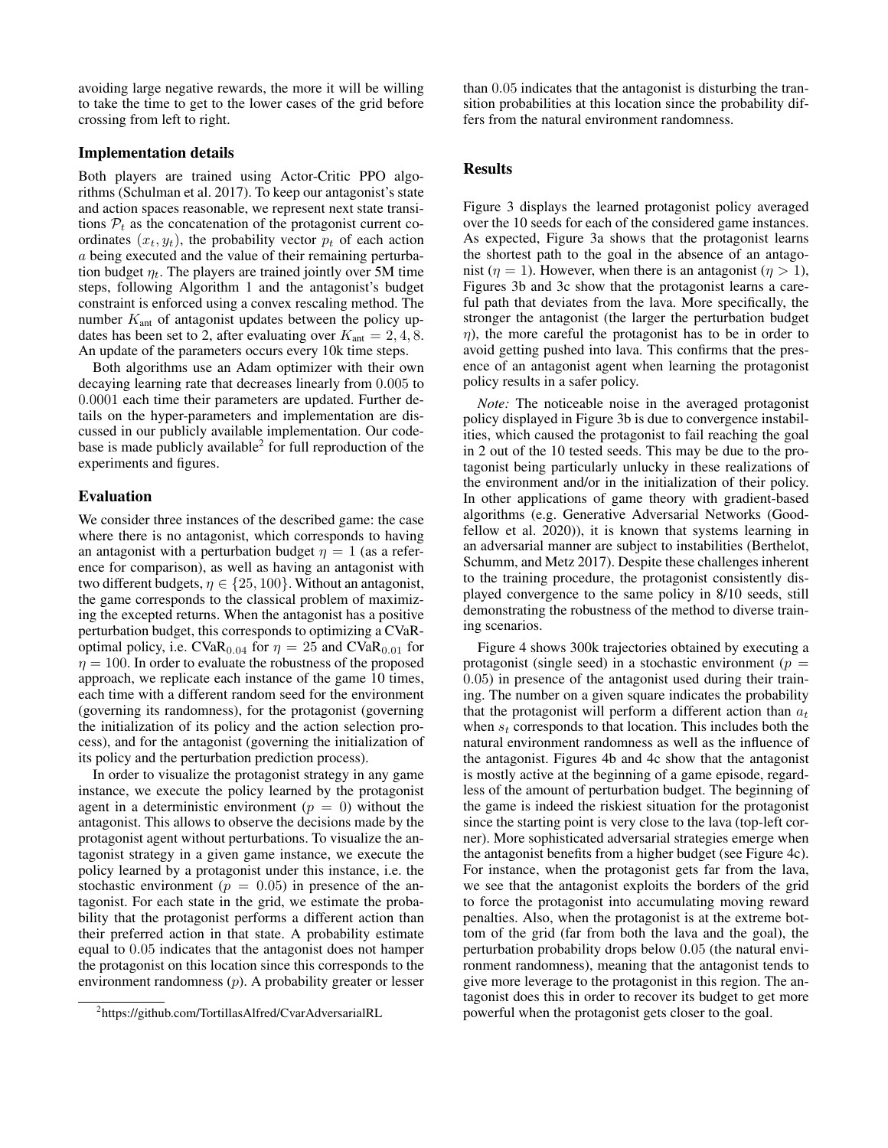avoiding large negative rewards, the more it will be willing to take the time to get to the lower cases of the grid before crossing from left to right.

### Implementation details

Both players are trained using Actor-Critic PPO algorithms (Schulman et al. 2017). To keep our antagonist's state and action spaces reasonable, we represent next state transitions  $P_t$  as the concatenation of the protagonist current coordinates  $(x_t, y_t)$ , the probability vector  $p_t$  of each action a being executed and the value of their remaining perturbation budget  $\eta_t$ . The players are trained jointly over 5M time steps, following Algorithm 1 and the antagonist's budget constraint is enforced using a convex rescaling method. The number  $K_{\text{ant}}$  of antagonist updates between the policy updates has been set to 2, after evaluating over  $K_{\text{ant}} = 2, 4, 8$ . An update of the parameters occurs every 10k time steps.

Both algorithms use an Adam optimizer with their own decaying learning rate that decreases linearly from 0.005 to 0.0001 each time their parameters are updated. Further details on the hyper-parameters and implementation are discussed in our publicly available implementation. Our codebase is made publicly available<sup>2</sup> for full reproduction of the experiments and figures.

### Evaluation

We consider three instances of the described game: the case where there is no antagonist, which corresponds to having an antagonist with a perturbation budget  $\eta = 1$  (as a reference for comparison), as well as having an antagonist with two different budgets,  $\eta \in \{25, 100\}$ . Without an antagonist, the game corresponds to the classical problem of maximizing the excepted returns. When the antagonist has a positive perturbation budget, this corresponds to optimizing a CVaRoptimal policy, i.e.  $CVaR<sub>0.04</sub>$  for  $\eta = 25$  and  $CVaR<sub>0.01</sub>$  for  $\eta = 100$ . In order to evaluate the robustness of the proposed approach, we replicate each instance of the game 10 times, each time with a different random seed for the environment (governing its randomness), for the protagonist (governing the initialization of its policy and the action selection process), and for the antagonist (governing the initialization of its policy and the perturbation prediction process).

In order to visualize the protagonist strategy in any game instance, we execute the policy learned by the protagonist agent in a deterministic environment ( $p = 0$ ) without the antagonist. This allows to observe the decisions made by the protagonist agent without perturbations. To visualize the antagonist strategy in a given game instance, we execute the policy learned by a protagonist under this instance, i.e. the stochastic environment ( $p = 0.05$ ) in presence of the antagonist. For each state in the grid, we estimate the probability that the protagonist performs a different action than their preferred action in that state. A probability estimate equal to 0.05 indicates that the antagonist does not hamper the protagonist on this location since this corresponds to the environment randomness (p). A probability greater or lesser

than 0.05 indicates that the antagonist is disturbing the transition probabilities at this location since the probability differs from the natural environment randomness.

# **Results**

Figure 3 displays the learned protagonist policy averaged over the 10 seeds for each of the considered game instances. As expected, Figure 3a shows that the protagonist learns the shortest path to the goal in the absence of an antagonist ( $\eta = 1$ ). However, when there is an antagonist ( $\eta > 1$ ), Figures 3b and 3c show that the protagonist learns a careful path that deviates from the lava. More specifically, the stronger the antagonist (the larger the perturbation budget  $\eta$ ), the more careful the protagonist has to be in order to avoid getting pushed into lava. This confirms that the presence of an antagonist agent when learning the protagonist policy results in a safer policy.

*Note:* The noticeable noise in the averaged protagonist policy displayed in Figure 3b is due to convergence instabilities, which caused the protagonist to fail reaching the goal in 2 out of the 10 tested seeds. This may be due to the protagonist being particularly unlucky in these realizations of the environment and/or in the initialization of their policy. In other applications of game theory with gradient-based algorithms (e.g. Generative Adversarial Networks (Goodfellow et al. 2020)), it is known that systems learning in an adversarial manner are subject to instabilities (Berthelot, Schumm, and Metz 2017). Despite these challenges inherent to the training procedure, the protagonist consistently displayed convergence to the same policy in 8/10 seeds, still demonstrating the robustness of the method to diverse training scenarios.

Figure 4 shows 300k trajectories obtained by executing a protagonist (single seed) in a stochastic environment ( $p =$ 0.05) in presence of the antagonist used during their training. The number on a given square indicates the probability that the protagonist will perform a different action than  $a_t$ when  $s_t$  corresponds to that location. This includes both the natural environment randomness as well as the influence of the antagonist. Figures 4b and 4c show that the antagonist is mostly active at the beginning of a game episode, regardless of the amount of perturbation budget. The beginning of the game is indeed the riskiest situation for the protagonist since the starting point is very close to the lava (top-left corner). More sophisticated adversarial strategies emerge when the antagonist benefits from a higher budget (see Figure 4c). For instance, when the protagonist gets far from the lava, we see that the antagonist exploits the borders of the grid to force the protagonist into accumulating moving reward penalties. Also, when the protagonist is at the extreme bottom of the grid (far from both the lava and the goal), the perturbation probability drops below 0.05 (the natural environment randomness), meaning that the antagonist tends to give more leverage to the protagonist in this region. The antagonist does this in order to recover its budget to get more powerful when the protagonist gets closer to the goal.

<sup>2</sup> https://github.com/TortillasAlfred/CvarAdversarialRL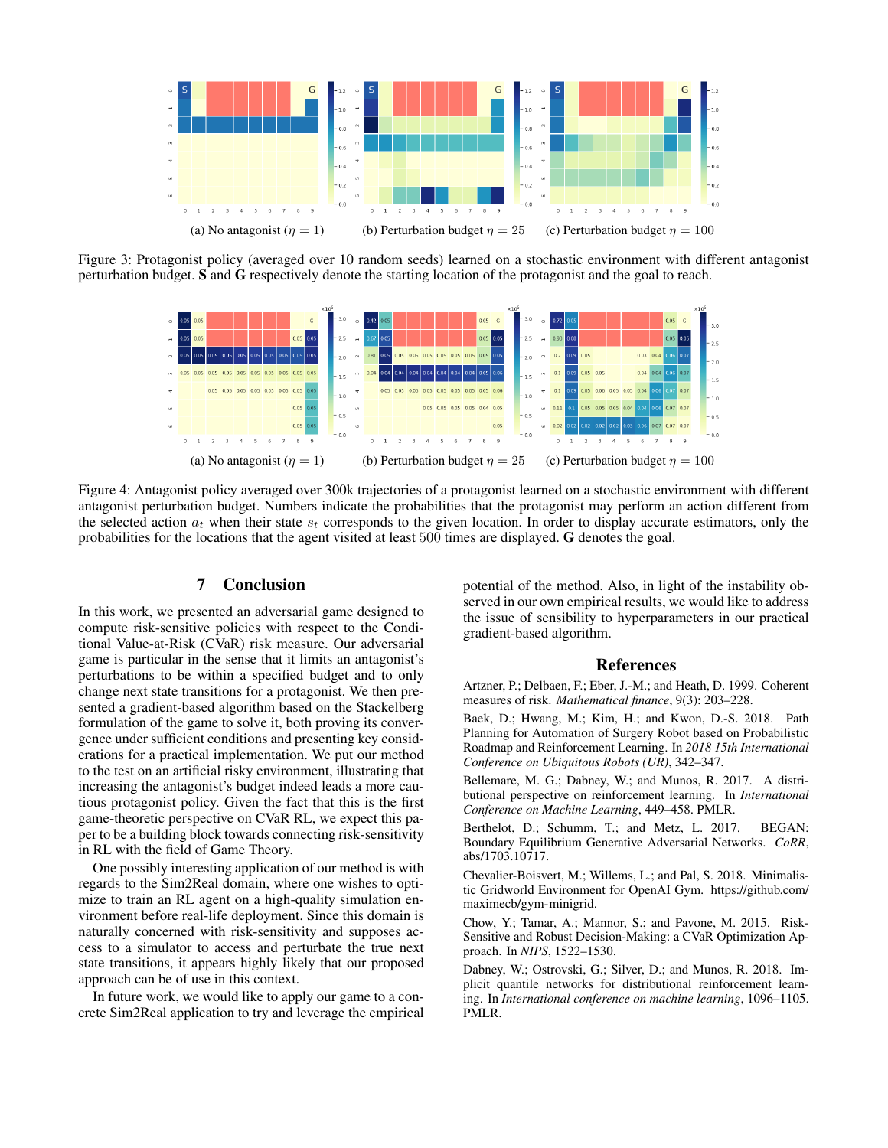

Figure 3: Protagonist policy (averaged over 10 random seeds) learned on a stochastic environment with different antagonist perturbation budget. S and G respectively denote the starting location of the protagonist and the goal to reach.



Figure 4: Antagonist policy averaged over 300k trajectories of a protagonist learned on a stochastic environment with different antagonist perturbation budget. Numbers indicate the probabilities that the protagonist may perform an action different from the selected action  $a_t$  when their state  $s_t$  corresponds to the given location. In order to display accurate estimators, only the probabilities for the locations that the agent visited at least 500 times are displayed. G denotes the goal.

### 7 Conclusion

In this work, we presented an adversarial game designed to compute risk-sensitive policies with respect to the Conditional Value-at-Risk (CVaR) risk measure. Our adversarial game is particular in the sense that it limits an antagonist's perturbations to be within a specified budget and to only change next state transitions for a protagonist. We then presented a gradient-based algorithm based on the Stackelberg formulation of the game to solve it, both proving its convergence under sufficient conditions and presenting key considerations for a practical implementation. We put our method to the test on an artificial risky environment, illustrating that increasing the antagonist's budget indeed leads a more cautious protagonist policy. Given the fact that this is the first game-theoretic perspective on CVaR RL, we expect this paper to be a building block towards connecting risk-sensitivity in RL with the field of Game Theory.

One possibly interesting application of our method is with regards to the Sim2Real domain, where one wishes to optimize to train an RL agent on a high-quality simulation environment before real-life deployment. Since this domain is naturally concerned with risk-sensitivity and supposes access to a simulator to access and perturbate the true next state transitions, it appears highly likely that our proposed approach can be of use in this context.

In future work, we would like to apply our game to a concrete Sim2Real application to try and leverage the empirical potential of the method. Also, in light of the instability observed in our own empirical results, we would like to address the issue of sensibility to hyperparameters in our practical gradient-based algorithm.

#### References

Artzner, P.; Delbaen, F.; Eber, J.-M.; and Heath, D. 1999. Coherent measures of risk. *Mathematical finance*, 9(3): 203–228.

Baek, D.; Hwang, M.; Kim, H.; and Kwon, D.-S. 2018. Path Planning for Automation of Surgery Robot based on Probabilistic Roadmap and Reinforcement Learning. In *2018 15th International Conference on Ubiquitous Robots (UR)*, 342–347.

Bellemare, M. G.; Dabney, W.; and Munos, R. 2017. A distributional perspective on reinforcement learning. In *International Conference on Machine Learning*, 449–458. PMLR.

Berthelot, D.; Schumm, T.; and Metz, L. 2017. BEGAN: Boundary Equilibrium Generative Adversarial Networks. *CoRR*, abs/1703.10717.

Chevalier-Boisvert, M.; Willems, L.; and Pal, S. 2018. Minimalistic Gridworld Environment for OpenAI Gym. https://github.com/ maximecb/gym-minigrid.

Chow, Y.; Tamar, A.; Mannor, S.; and Pavone, M. 2015. Risk-Sensitive and Robust Decision-Making: a CVaR Optimization Approach. In *NIPS*, 1522–1530.

Dabney, W.; Ostrovski, G.; Silver, D.; and Munos, R. 2018. Implicit quantile networks for distributional reinforcement learning. In *International conference on machine learning*, 1096–1105. PMLR.